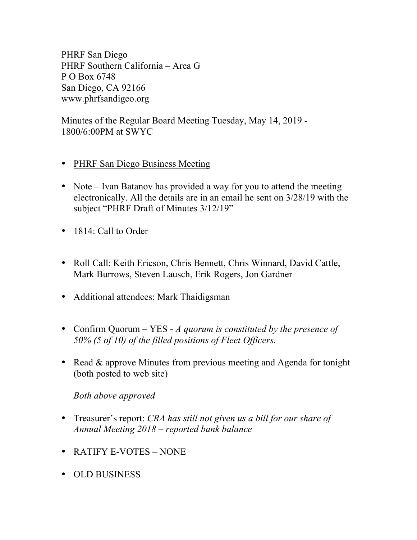PHRF San Diego PHRF Southern California – Area G P O Box 6748 San Diego, CA 92166 www.phrfsandigeo.org

Minutes of the Regular Board Meeting Tuesday, May 14, 2019 - 1800/6:00PM at SWYC

- PHRF San Diego Business Meeting
- Note Ivan Batanov has provided a way for you to attend the meeting electronically. All the details are in an email he sent on 3/28/19 with the subject "PHRF Draft of Minutes 3/12/19"
- 1814: Call to Order
- Roll Call: Keith Ericson, Chris Bennett, Chris Winnard, David Cattle, Mark Burrows, Steven Lausch, Erik Rogers, Jon Gardner
- Additional attendees: Mark Thaidigsman
- Confirm Quorum YES *A quorum is constituted by the presence of 50% (5 of 10) of the filled positions of Fleet Officers.*
- Read & approve Minutes from previous meeting and Agenda for tonight (both posted to web site)

## *Both above approved*

- Treasurer's report: *CRA has still not given us a bill for our share of Annual Meeting 2018 – reported bank balance*
- RATIFY E-VOTES NONE
- OLD BUSINESS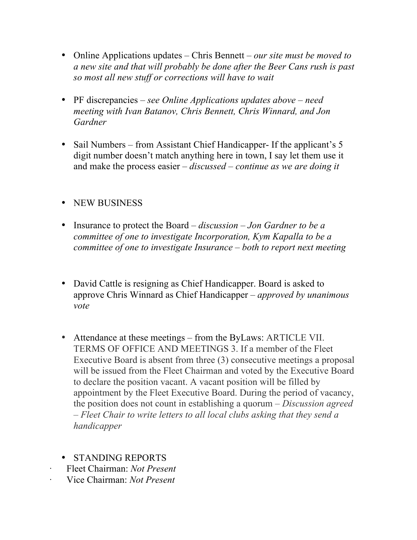- Online Applications updates Chris Bennett *our site must be moved to a new site and that will probably be done after the Beer Cans rush is past so most all new stuff or corrections will have to wait*
- PF discrepancies *see Online Applications updates above – need meeting with Ivan Batanov, Chris Bennett, Chris Winnard, and Jon Gardner*
- Sail Numbers from Assistant Chief Handicapper- If the applicant's 5 digit number doesn't match anything here in town, I say let them use it and make the process easier – *discussed – continue as we are doing it*
- NEW BUSINESS
- Insurance to protect the Board *discussion – Jon Gardner to be a committee of one to investigate Incorporation, Kym Kapalla to be a committee of one to investigate Insurance – both to report next meeting*
- David Cattle is resigning as Chief Handicapper. Board is asked to approve Chris Winnard as Chief Handicapper – *approved by unanimous vote*
- Attendance at these meetings from the ByLaws: ARTICLE VII. TERMS OF OFFICE AND MEETINGS 3. If a member of the Fleet Executive Board is absent from three (3) consecutive meetings a proposal will be issued from the Fleet Chairman and voted by the Executive Board to declare the position vacant. A vacant position will be filled by appointment by the Fleet Executive Board. During the period of vacancy, the position does not count in establishing a quorum – *Discussion agreed – Fleet Chair to write letters to all local clubs asking that they send a handicapper*
- STANDING REPORTS
- · Fleet Chairman: *Not Present*
- · Vice Chairman: *Not Present*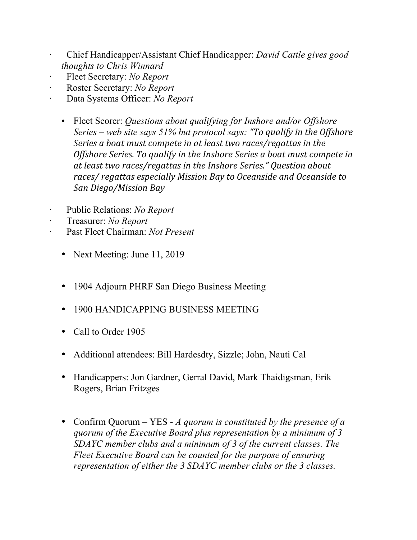- · Chief Handicapper/Assistant Chief Handicapper: *David Cattle gives good thoughts to Chris Winnard*
- · Fleet Secretary: *No Report*
- · Roster Secretary: *No Report*
- · Data Systems Officer: *No Report*
	- Fleet Scorer: *Questions about qualifying for Inshore and/or Offshore Series – web site says 51% but protocol says: "To qualify in the Offshore Series a boat must compete in at least two races/regattas in the Offshore Series.* To qualify in the Inshore Series a boat must compete in at least two races/regattas in the Inshore Series." Question about *races/ regattas especially Mission Bay to Oceanside and Oceanside to San Diego/Mission Bay*
- Public Relations: *No Report*
- · Treasurer: *No Report*
- Past Fleet Chairman: *Not Present* 
	- Next Meeting: June 11, 2019
	- 1904 Adjourn PHRF San Diego Business Meeting
	- 1900 HANDICAPPING BUSINESS MEETING
	- Call to Order 1905
	- Additional attendees: Bill Hardesdty, Sizzle; John, Nauti Cal
	- Handicappers: Jon Gardner, Gerral David, Mark Thaidigsman, Erik Rogers, Brian Fritzges
	- Confirm Quorum YES *A quorum is constituted by the presence of a quorum of the Executive Board plus representation by a minimum of 3 SDAYC member clubs and a minimum of 3 of the current classes. The Fleet Executive Board can be counted for the purpose of ensuring representation of either the 3 SDAYC member clubs or the 3 classes.*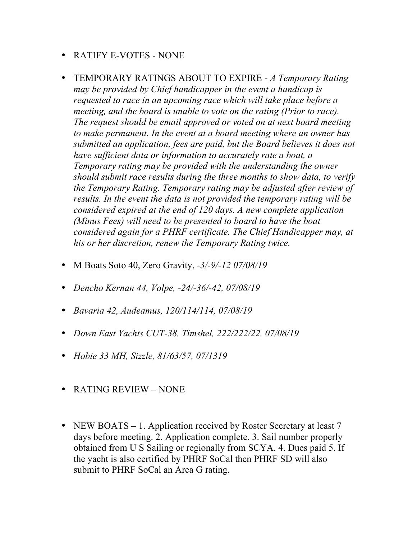- RATIFY E-VOTES NONE
- TEMPORARY RATINGS ABOUT TO EXPIRE *A Temporary Rating may be provided by Chief handicapper in the event a handicap is requested to race in an upcoming race which will take place before a meeting, and the board is unable to vote on the rating (Prior to race). The request should be email approved or voted on at next board meeting to make permanent. In the event at a board meeting where an owner has submitted an application, fees are paid, but the Board believes it does not have sufficient data or information to accurately rate a boat, a Temporary rating may be provided with the understanding the owner should submit race results during the three months to show data, to verify the Temporary Rating. Temporary rating may be adjusted after review of results. In the event the data is not provided the temporary rating will be considered expired at the end of 120 days. A new complete application (Minus Fees) will need to be presented to board to have the boat considered again for a PHRF certificate. The Chief Handicapper may, at his or her discretion, renew the Temporary Rating twice.*
- M Boats Soto 40, Zero Gravity, -*3/-9/-12 07/08/19*
- *Dencho Kernan 44, Volpe, -24/-36/-42, 07/08/19*
- *Bavaria 42, Audeamus, 120/114/114, 07/08/19*
- *Down East Yachts CUT-38, Timshel, 222/222/22, 07/08/19*
- *Hobie 33 MH, Sizzle, 81/63/57, 07/1319*
- RATING REVIEW NONE
- NEW BOATS 1. Application received by Roster Secretary at least 7 days before meeting. 2. Application complete. 3. Sail number properly obtained from U S Sailing or regionally from SCYA. 4. Dues paid 5. If the yacht is also certified by PHRF SoCal then PHRF SD will also submit to PHRF SoCal an Area G rating.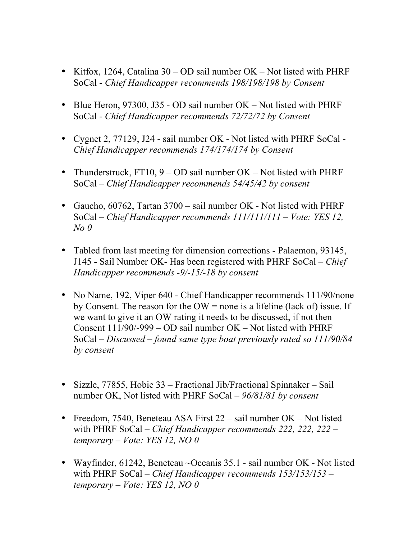- Kitfox, 1264, Catalina 30 OD sail number OK Not listed with PHRF SoCal - *Chief Handicapper recommends 198/198/198 by Consent*
- Blue Heron, 97300, J35 OD sail number OK Not listed with PHRF SoCal - *Chief Handicapper recommends 72/72/72 by Consent*
- Cygnet 2, 77129, J24 sail number OK Not listed with PHRF SoCal -*Chief Handicapper recommends 174/174/174 by Consent*
- Thunderstruck,  $FT10, 9 OD$  sail number  $OK Not$  listed with PHRF SoCal – *Chief Handicapper recommends 54/45/42 by consent*
- Gaucho, 60762, Tartan 3700 sail number OK Not listed with PHRF SoCal – *Chief Handicapper recommends 111/111/111 – Vote: YES 12, No 0*
- Tabled from last meeting for dimension corrections Palaemon, 93145, J145 - Sail Number OK- Has been registered with PHRF SoCal – *Chief Handicapper recommends -9/-15/-18 by consent*
- No Name, 192, Viper 640 Chief Handicapper recommends 111/90/none by Consent. The reason for the  $OW =$  none is a lifeline (lack of) issue. If we want to give it an OW rating it needs to be discussed, if not then Consent 111/90/-999 – OD sail number OK – Not listed with PHRF SoCal – *Discussed – found same type boat previously rated so 111/90/84 by consent*
- Sizzle, 77855, Hobie 33 Fractional Jib/Fractional Spinnaker Sail number OK, Not listed with PHRF SoCal – *96/81/81 by consent*
- Freedom, 7540, Beneteau ASA First 22 sail number OK Not listed with PHRF SoCal – *Chief Handicapper recommends 222, 222, 222 – temporary – Vote: YES 12, NO 0*
- Wayfinder, 61242, Beneteau ~Oceanis 35.1 sail number OK Not listed with PHRF SoCal – *Chief Handicapper recommends 153/153/153 – temporary – Vote: YES 12, NO 0*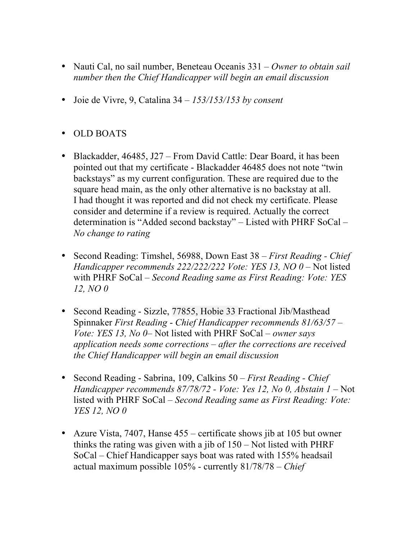- Nauti Cal, no sail number, Beneteau Oceanis 331 *Owner to obtain sail number then the Chief Handicapper will begin an email discussion*
- Joie de Vivre, 9, Catalina 34 *153/153/153 by consent*
- OLD BOATS
- Blackadder, 46485, J27 From David Cattle: Dear Board, it has been pointed out that my certificate - Blackadder 46485 does not note "twin backstays" as my current configuration. These are required due to the square head main, as the only other alternative is no backstay at all. I had thought it was reported and did not check my certificate. Please consider and determine if a review is required. Actually the correct determination is "Added second backstay" – Listed with PHRF SoCal *– No change to rating*
- Second Reading: Timshel, 56988, Down East 38 *First Reading - Chief Handicapper recommends 222/222/222 Vote: YES 13, NO 0* – Not listed with PHRF SoCal – *Second Reading same as First Reading: Vote: YES 12, NO 0*
- Second Reading Sizzle, 77855, Hobie 33 Fractional Jib/Masthead Spinnaker *First Reading* - *Chief Handicapper recommends 81/63/57 – Vote: YES 13, No 0*– Not listed with PHRF SoCal – *owner says application needs some corrections – after the corrections are received the Chief Handicapper will begin an* e*mail discussion*
- Second Reading Sabrina, 109, Calkins 50 *First Reading - Chief Handicapper recommends 87/78/72 - Vote: Yes 12, No 0, Abstain 1* – Not listed with PHRF SoCal – *Second Reading same as First Reading: Vote: YES 12, NO 0*
- Azure Vista, 7407, Hanse 455 certificate shows jib at 105 but owner thinks the rating was given with a jib of 150 – Not listed with PHRF SoCal – Chief Handicapper says boat was rated with 155% headsail actual maximum possible 105% - currently 81/78/78 – *Chief*